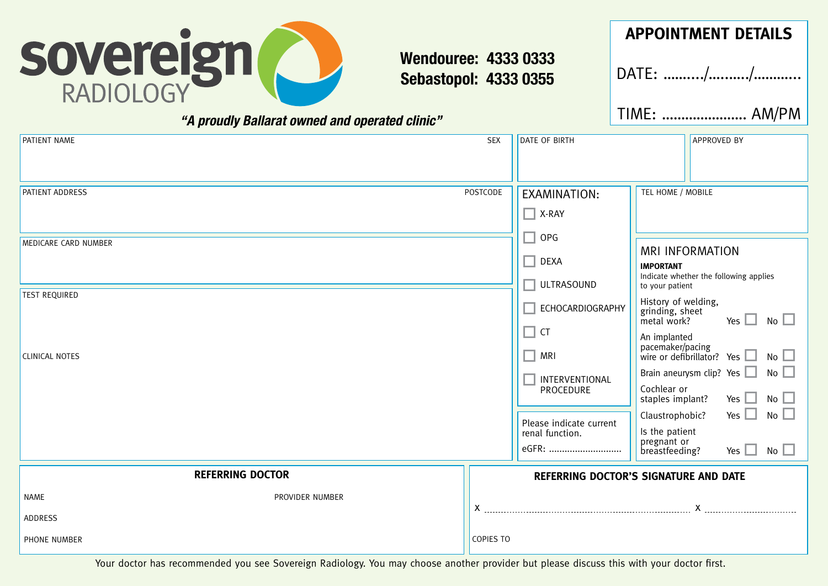

# **Wendouree: 4333 0333 Sebastopol: 4333 0355**

*"A proudly Ballarat owned and operated clinic"*

# **APPOINTMENT DETAILS**

DATE: ……..../…..…../………...

TIME: …………………. AM/PM

|                                                    |                                                |                                                                                                                                   | <b>APPROVED BY</b>                                                                                                                                                                                                                                                                                                                                                                                       |  |  |  |
|----------------------------------------------------|------------------------------------------------|-----------------------------------------------------------------------------------------------------------------------------------|----------------------------------------------------------------------------------------------------------------------------------------------------------------------------------------------------------------------------------------------------------------------------------------------------------------------------------------------------------------------------------------------------------|--|--|--|
| <b>PATIENT ADDRESS</b>                             | POSTCODE                                       | EXAMINATION:<br>$\Box$ X-RAY                                                                                                      | TEL HOME / MOBILE                                                                                                                                                                                                                                                                                                                                                                                        |  |  |  |
| MEDICARE CARD NUMBER                               | $\Box$ OPG<br>$\Box$ DEXA<br>$\Box$ ULTRASOUND | <b>MRI INFORMATION</b><br><b>IMPORTANT</b><br>Indicate whether the following applies<br>to your patient                           |                                                                                                                                                                                                                                                                                                                                                                                                          |  |  |  |
| <b>TEST REQUIRED</b><br><b>CLINICAL NOTES</b>      |                                                | ECHOCARDIOGRAPHY<br>$\Box$ CT<br>$\Box$ MRI<br>INTERVENTIONAL<br>PROCEDURE<br>Please indicate current<br>renal function.<br>eGFR: | History of welding,<br>grinding, sheet<br>Yes $\Box$ No $\Box$<br>metal work?<br>An implanted<br>$\frac{1}{2}$ pacemaker/pacing<br>wire or defibrillator? Yes $\Box$ No $\Box$<br>Brain aneurysm clip? Yes $\Box$ No $\Box$<br>Cochlear or<br>Yes $\Box$ No $\Box$<br>staples implant?<br>Yes $\Box$ No $\Box$<br>Claustrophobic?<br>Is the patient<br>pregnant or<br>No<br>Yes $\Box$<br>breastfeeding? |  |  |  |
| <b>REFERRING DOCTOR</b>                            |                                                | <b>REFERRING DOCTOR'S SIGNATURE AND DATE</b>                                                                                      |                                                                                                                                                                                                                                                                                                                                                                                                          |  |  |  |
| PROVIDER NUMBER<br>NAME<br>ADDRESS<br>PHONE NUMBER | COPIES TO                                      |                                                                                                                                   |                                                                                                                                                                                                                                                                                                                                                                                                          |  |  |  |

Your doctor has recommended you see Sovereign Radiology. You may choose another provider but please discuss this with your doctor first.